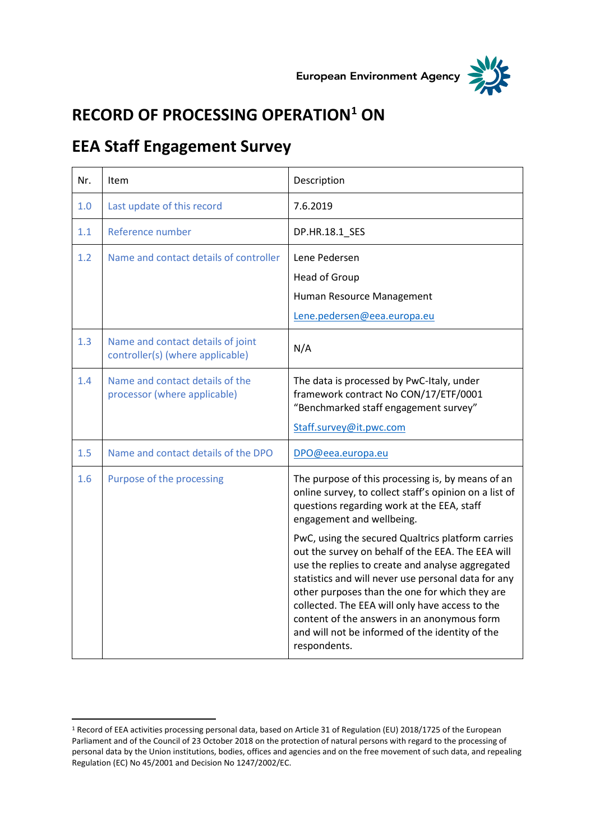



## **RECORD OF PROCESSING OPERATION<sup>1</sup> ON**

## **EEA Staff Engagement Survey**

 $\overline{a}$ 

| Nr. | Item                                                                  | Description                                                                                                                                                                                                                                                                                                                                                                                                                                                                                                                                                                                                                        |
|-----|-----------------------------------------------------------------------|------------------------------------------------------------------------------------------------------------------------------------------------------------------------------------------------------------------------------------------------------------------------------------------------------------------------------------------------------------------------------------------------------------------------------------------------------------------------------------------------------------------------------------------------------------------------------------------------------------------------------------|
| 1.0 | Last update of this record                                            | 7.6.2019                                                                                                                                                                                                                                                                                                                                                                                                                                                                                                                                                                                                                           |
| 1.1 | Reference number                                                      | DP.HR.18.1_SES                                                                                                                                                                                                                                                                                                                                                                                                                                                                                                                                                                                                                     |
| 1.2 | Name and contact details of controller                                | Lene Pedersen<br>Head of Group<br>Human Resource Management<br>Lene.pedersen@eea.europa.eu                                                                                                                                                                                                                                                                                                                                                                                                                                                                                                                                         |
| 1.3 | Name and contact details of joint<br>controller(s) (where applicable) | N/A                                                                                                                                                                                                                                                                                                                                                                                                                                                                                                                                                                                                                                |
| 1.4 | Name and contact details of the<br>processor (where applicable)       | The data is processed by PwC-Italy, under<br>framework contract No CON/17/ETF/0001<br>"Benchmarked staff engagement survey"<br>Staff.survey@it.pwc.com                                                                                                                                                                                                                                                                                                                                                                                                                                                                             |
| 1.5 | Name and contact details of the DPO                                   | DPO@eea.europa.eu                                                                                                                                                                                                                                                                                                                                                                                                                                                                                                                                                                                                                  |
| 1.6 | Purpose of the processing                                             | The purpose of this processing is, by means of an<br>online survey, to collect staff's opinion on a list of<br>questions regarding work at the EEA, staff<br>engagement and wellbeing.<br>PwC, using the secured Qualtrics platform carries<br>out the survey on behalf of the EEA. The EEA will<br>use the replies to create and analyse aggregated<br>statistics and will never use personal data for any<br>other purposes than the one for which they are<br>collected. The EEA will only have access to the<br>content of the answers in an anonymous form<br>and will not be informed of the identity of the<br>respondents. |

<sup>1</sup> Record of EEA activities processing personal data, based on Article 31 of Regulation (EU) 2018/1725 of the European Parliament and of the Council of 23 October 2018 on the protection of natural persons with regard to the processing of personal data by the Union institutions, bodies, offices and agencies and on the free movement of such data, and repealing Regulation (EC) No 45/2001 and Decision No 1247/2002/EC.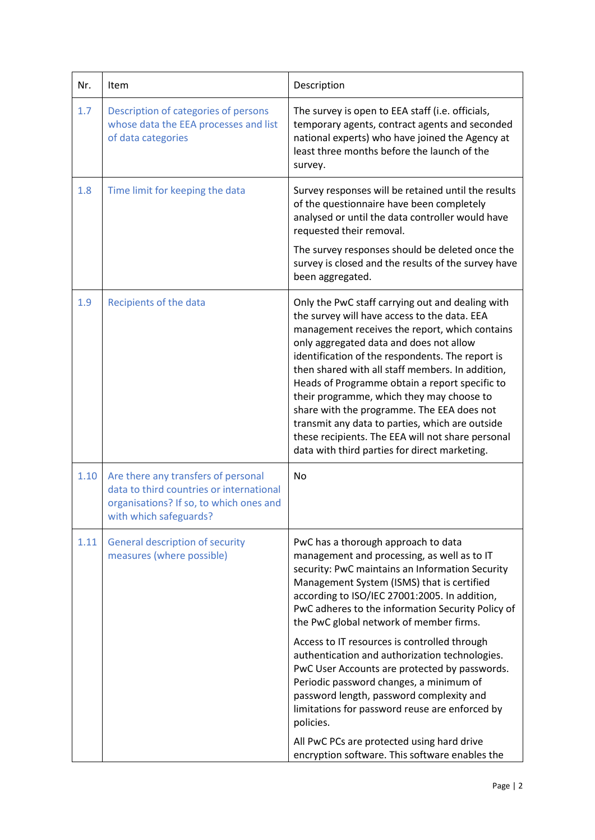| Nr.  | Item                                                                                                                                                 | Description                                                                                                                                                                                                                                                                                                                                                                                                                                                                                                                                                                                                 |
|------|------------------------------------------------------------------------------------------------------------------------------------------------------|-------------------------------------------------------------------------------------------------------------------------------------------------------------------------------------------------------------------------------------------------------------------------------------------------------------------------------------------------------------------------------------------------------------------------------------------------------------------------------------------------------------------------------------------------------------------------------------------------------------|
| 1.7  | Description of categories of persons<br>whose data the EEA processes and list<br>of data categories                                                  | The survey is open to EEA staff (i.e. officials,<br>temporary agents, contract agents and seconded<br>national experts) who have joined the Agency at<br>least three months before the launch of the<br>survey.                                                                                                                                                                                                                                                                                                                                                                                             |
| 1.8  | Time limit for keeping the data                                                                                                                      | Survey responses will be retained until the results<br>of the questionnaire have been completely<br>analysed or until the data controller would have<br>requested their removal.<br>The survey responses should be deleted once the<br>survey is closed and the results of the survey have<br>been aggregated.                                                                                                                                                                                                                                                                                              |
| 1.9  | Recipients of the data                                                                                                                               | Only the PwC staff carrying out and dealing with<br>the survey will have access to the data. EEA<br>management receives the report, which contains<br>only aggregated data and does not allow<br>identification of the respondents. The report is<br>then shared with all staff members. In addition,<br>Heads of Programme obtain a report specific to<br>their programme, which they may choose to<br>share with the programme. The EEA does not<br>transmit any data to parties, which are outside<br>these recipients. The EEA will not share personal<br>data with third parties for direct marketing. |
| 1.10 | Are there any transfers of personal<br>data to third countries or international<br>organisations? If so, to which ones and<br>with which safeguards? | No                                                                                                                                                                                                                                                                                                                                                                                                                                                                                                                                                                                                          |
| 1.11 | <b>General description of security</b><br>measures (where possible)                                                                                  | PwC has a thorough approach to data<br>management and processing, as well as to IT<br>security: PwC maintains an Information Security<br>Management System (ISMS) that is certified<br>according to ISO/IEC 27001:2005. In addition,<br>PwC adheres to the information Security Policy of<br>the PwC global network of member firms.                                                                                                                                                                                                                                                                        |
|      |                                                                                                                                                      | Access to IT resources is controlled through<br>authentication and authorization technologies.<br>PwC User Accounts are protected by passwords.<br>Periodic password changes, a minimum of<br>password length, password complexity and<br>limitations for password reuse are enforced by<br>policies.                                                                                                                                                                                                                                                                                                       |
|      |                                                                                                                                                      | All PwC PCs are protected using hard drive<br>encryption software. This software enables the                                                                                                                                                                                                                                                                                                                                                                                                                                                                                                                |